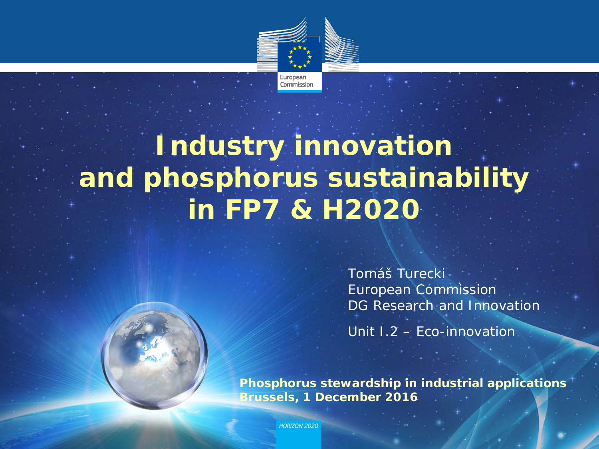

## **Industry innovation and phosphorus sustainability in FP7 & H2020**

*Tomáš Turecki European Commission DG Research and Innovation*

*Unit I.2 – Eco-innovation* 

**Phosphorus stewardship in industrial applications Brussels, 1 December 2016**

**HORIZON 2020**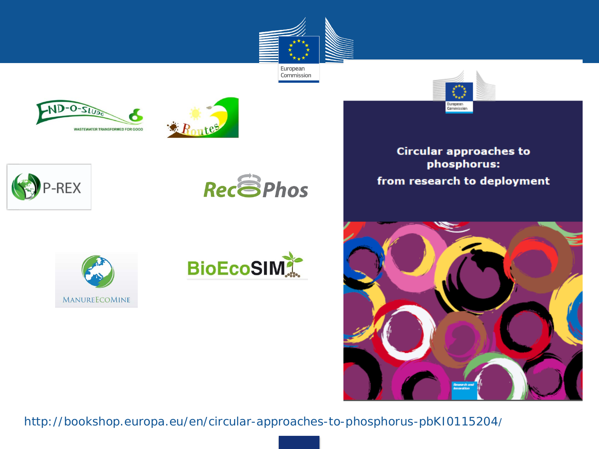





















**Circular approaches to** phosphorus: from research to deployment



http://bookshop.europa.eu/en/circular-approaches-to-phosphorus-pbKI0115204/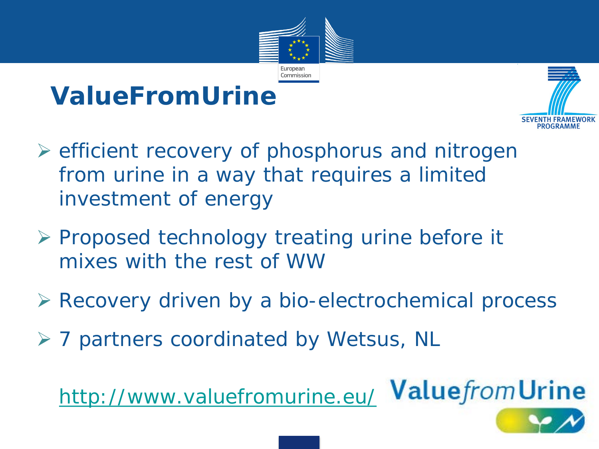

## **ValueFromUrine**



- $\triangleright$  efficient recovery of phosphorus and nitrogen from urine in a way that requires a limited investment of energy
- $\triangleright$  Proposed technology treating urine before it mixes with the rest of WW
- Recovery driven by a bio-electrochemical process
- **≻ 7 partners coordinated by Wetsus, NL**

• *<http://www.valuefromurine.eu/>*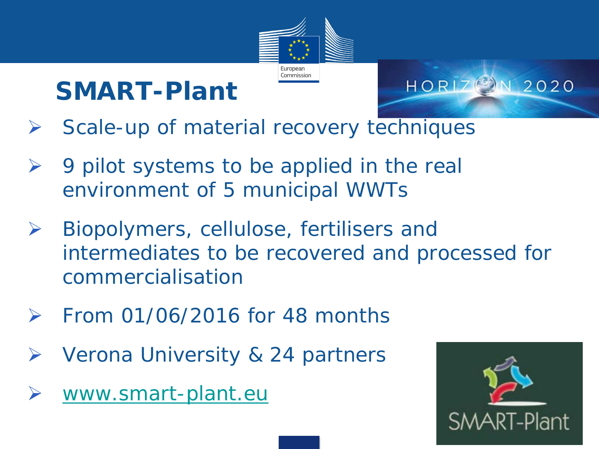

## **SMART-Plant**

- HORIZ<sup>2</sup>N 2020
- $\triangleright$  Scale-up of material recovery techniques
- $\triangleright$  9 pilot systems to be applied in the real environment of 5 municipal WWTs
- $\triangleright$  Biopolymers, cellulose, fertilisers and intermediates to be recovered and processed for commercialisation
- $\triangleright$  From 01/06/2016 for 48 months
- **▶ Verona University & 24 partners**
- [www.smart-plant.eu](http://www.smart-plant.eu/)

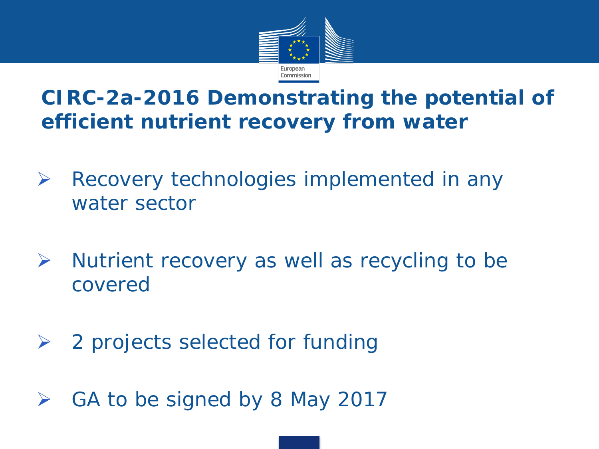

### **CIRC-2a-2016 Demonstrating the potential of efficient nutrient recovery from water**

- $\triangleright$  Recovery technologies implemented in any water sector
- $\triangleright$  Nutrient recovery as well as recycling to be covered
- $\geq$  2 projects selected for funding
- $\triangleright$  GA to be signed by 8 May 2017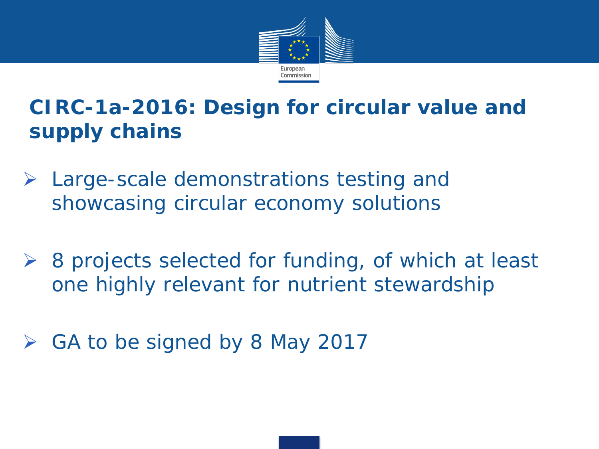

## **CIRC-1a-2016: Design for circular value and supply chains**

- $\triangleright$  Large-scale demonstrations testing and showcasing circular economy solutions
- ▶ 8 projects selected for funding, of which at least one highly relevant for nutrient stewardship
- $\triangleright$  GA to be signed by 8 May 2017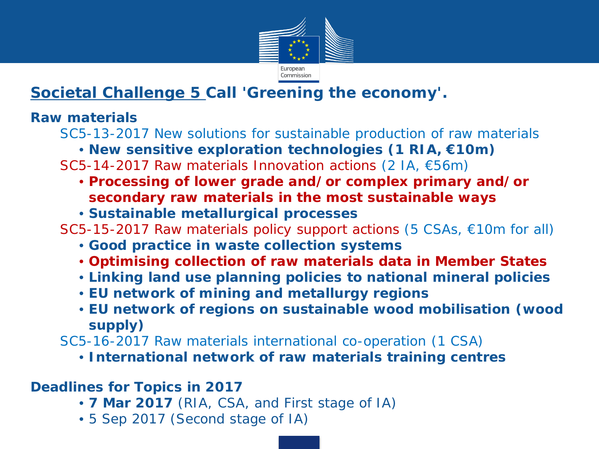

#### **Societal Challenge 5 Call 'Greening the economy'.**

#### **Raw materials**

SC5-13-2017 New solutions for sustainable production of raw materials

- **New sensitive exploration technologies (1 RIA, €10m)**
- SC5-14-2017 Raw materials Innovation actions (2 IA, €56m)
	- **Processing of lower grade and/or complex primary and/or secondary raw materials in the most sustainable ways**
	- **Sustainable metallurgical processes**

SC5-15-2017 Raw materials policy support actions (5 CSAs, €10m for all)

- **Good practice in waste collection systems**
- **Optimising collection of raw materials data in Member States**
- **Linking land use planning policies to national mineral policies**
- **EU network of mining and metallurgy regions**
- **EU network of regions on sustainable wood mobilisation (wood supply)**
- SC5-16-2017 Raw materials international co-operation (1 CSA)
	- **International network of raw materials training centres**

#### **Deadlines for Topics in 2017**

- **7 Mar 2017** (RIA, CSA, and First stage of IA)
- 5 Sep 2017 (Second stage of IA)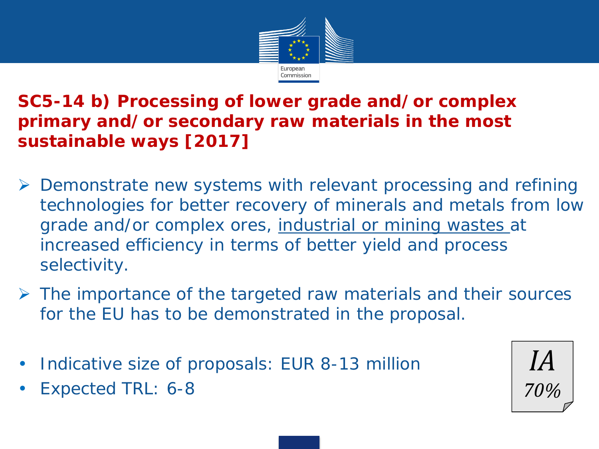

**SC5-14 b) Processing of lower grade and/or complex primary and/or secondary raw materials in the most sustainable ways [2017]**

- $\triangleright$  Demonstrate new systems with relevant processing and refining technologies for better recovery of minerals and metals from low grade and/or complex ores, industrial or mining wastes at increased efficiency in terms of better yield and process selectivity.
- $\triangleright$  The importance of the targeted raw materials and their sources for the EU has to be demonstrated in the proposal.
- Indicative size of proposals: EUR 8-13 million
- Expected TRL: 6-8

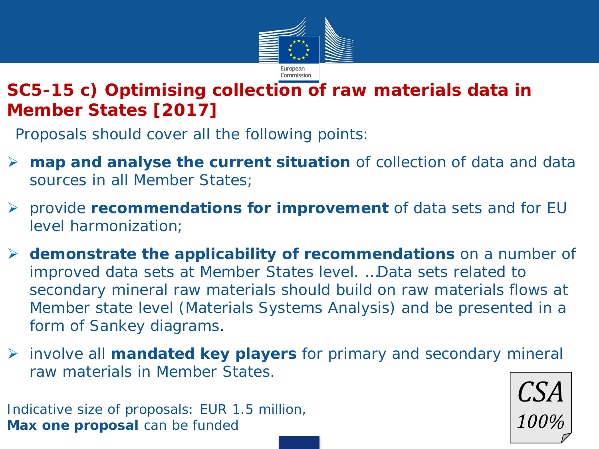

#### **SC5-15 c) Optimising collection of raw materials data in Member States [2017]**

Proposals should cover all the following points:

- **map and analyse the current situation** of collection of data and data sources in all Member States;
- provide **recommendations for improvement** of data sets and for EU level harmonization;
- **demonstrate the applicability of recommendations** on a number of improved data sets at Member States level. …Data sets related to secondary mineral raw materials should build on raw materials flows at Member state level (Materials Systems Analysis) and be presented in a form of Sankey diagrams.
- involve all **mandated key players** for primary and secondary mineral raw materials in Member States.

Indicative size of proposals: EUR 1.5 million, **Max one proposal** can be funded

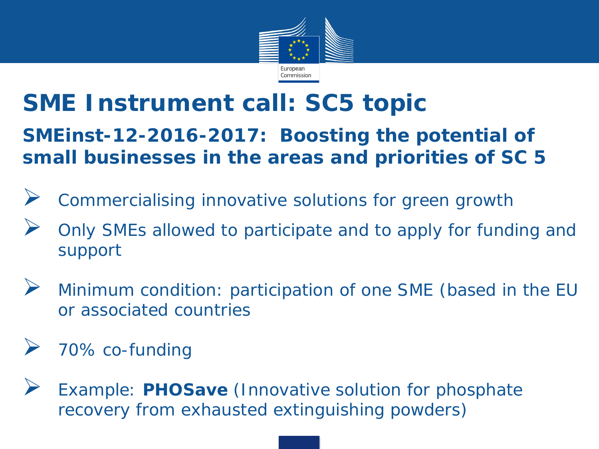

## **SME Instrument call: SC5 topic**

**SMEinst-12-2016-2017: Boosting the potential of small businesses in the areas and priorities of SC 5**

- Commercialising innovative solutions for green growth
- Only SMEs allowed to participate and to apply for funding and support
- Minimum condition: participation of one SME (based in the EU or associated countries
- 70% co-funding
- Example: **PHOSave** (*Innovative solution for phosphate recovery from exhausted extinguishing powders*)